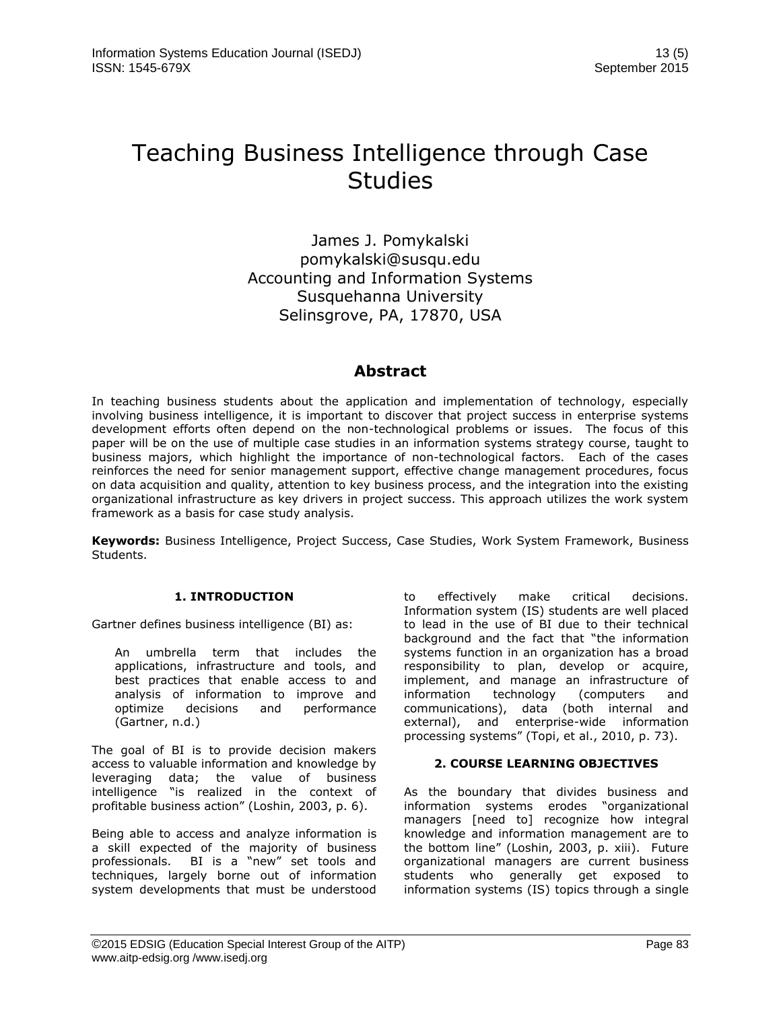# Teaching Business Intelligence through Case **Studies**

James J. Pomykalski pomykalski@susqu.edu Accounting and Information Systems Susquehanna University Selinsgrove, PA, 17870, USA

# **Abstract**

In teaching business students about the application and implementation of technology, especially involving business intelligence, it is important to discover that project success in enterprise systems development efforts often depend on the non-technological problems or issues. The focus of this paper will be on the use of multiple case studies in an information systems strategy course, taught to business majors, which highlight the importance of non-technological factors. Each of the cases reinforces the need for senior management support, effective change management procedures, focus on data acquisition and quality, attention to key business process, and the integration into the existing organizational infrastructure as key drivers in project success. This approach utilizes the work system framework as a basis for case study analysis.

**Keywords:** Business Intelligence, Project Success, Case Studies, Work System Framework, Business Students.

# **1. INTRODUCTION**

Gartner defines business intelligence (BI) as:

An umbrella term that includes the applications, infrastructure and tools, and best practices that enable access to and analysis of information to improve and optimize decisions and performance (Gartner, n.d.)

The goal of BI is to provide decision makers access to valuable information and knowledge by leveraging data; the value of business intelligence "is realized in the context of profitable business action" (Loshin, 2003, p. 6).

Being able to access and analyze information is a skill expected of the majority of business professionals. BI is a "new" set tools and techniques, largely borne out of information system developments that must be understood to effectively make critical decisions. Information system (IS) students are well placed to lead in the use of BI due to their technical background and the fact that "the information systems function in an organization has a broad responsibility to plan, develop or acquire, implement, and manage an infrastructure of information technology (computers and communications), data (both internal and external), and enterprise-wide information processing systems" (Topi, et al., 2010, p. 73).

# **2. COURSE LEARNING OBJECTIVES**

As the boundary that divides business and information systems erodes "organizational managers [need to] recognize how integral knowledge and information management are to the bottom line" (Loshin, 2003, p. xiii). Future organizational managers are current business students who generally get exposed to information systems (IS) topics through a single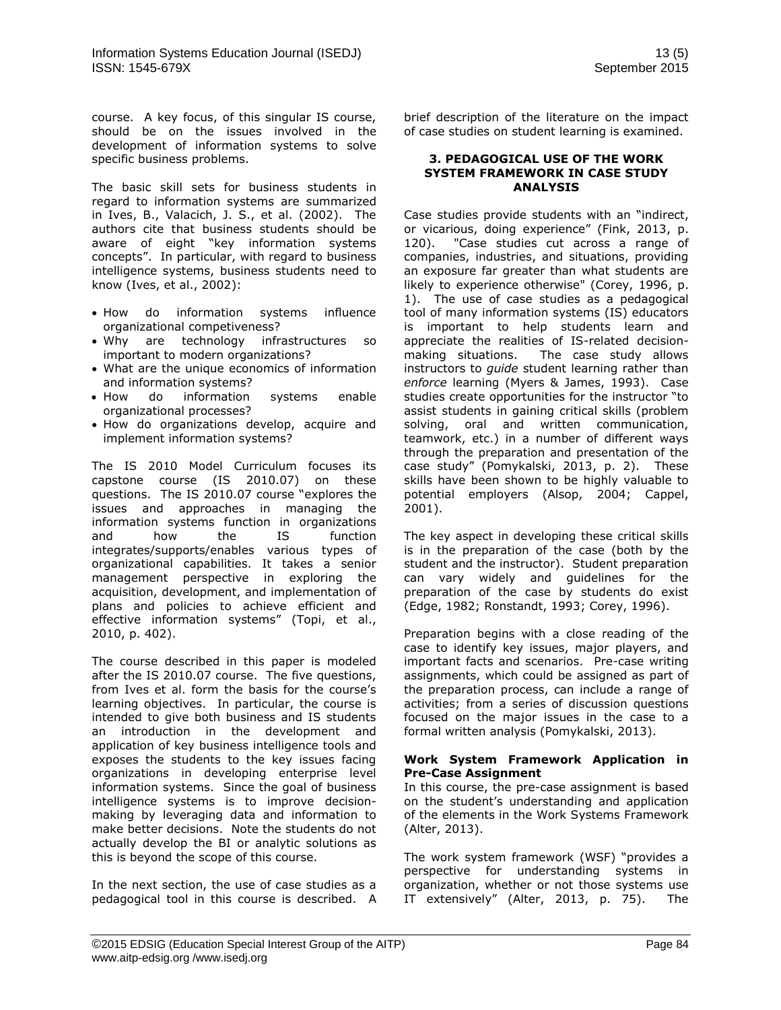course. A key focus, of this singular IS course, should be on the issues involved in the development of information systems to solve specific business problems.

The basic skill sets for business students in regard to information systems are summarized in Ives, B., Valacich, J. S., et al. (2002). The authors cite that business students should be aware of eight "key information systems concepts". In particular, with regard to business intelligence systems, business students need to know (Ives, et al., 2002):

- How do information systems influence organizational competiveness?
- Why are technology infrastructures so important to modern organizations?
- What are the unique economics of information and information systems?
- How do information systems enable organizational processes?
- How do organizations develop, acquire and implement information systems?

The IS 2010 Model Curriculum focuses its capstone course (IS 2010.07) on these questions. The IS 2010.07 course "explores the issues and approaches in managing the information systems function in organizations and how the IS function integrates/supports/enables various types of organizational capabilities. It takes a senior management perspective in exploring the acquisition, development, and implementation of plans and policies to achieve efficient and effective information systems" (Topi, et al., 2010, p. 402).

The course described in this paper is modeled after the IS 2010.07 course. The five questions, from Ives et al. form the basis for the course's learning objectives. In particular, the course is intended to give both business and IS students an introduction in the development and application of key business intelligence tools and exposes the students to the key issues facing organizations in developing enterprise level information systems. Since the goal of business intelligence systems is to improve decisionmaking by leveraging data and information to make better decisions. Note the students do not actually develop the BI or analytic solutions as this is beyond the scope of this course.

In the next section, the use of case studies as a pedagogical tool in this course is described. A brief description of the literature on the impact of case studies on student learning is examined.

#### **3. PEDAGOGICAL USE OF THE WORK SYSTEM FRAMEWORK IN CASE STUDY ANALYSIS**

Case studies provide students with an "indirect, or vicarious, doing experience" (Fink, 2013, p. 120). "Case studies cut across a range of companies, industries, and situations, providing an exposure far greater than what students are likely to experience otherwise" (Corey, 1996, p. 1). The use of case studies as a pedagogical tool of many information systems (IS) educators is important to help students learn and appreciate the realities of IS-related decisionmaking situations. The case study allows instructors to *guide* student learning rather than *enforce* learning (Myers & James, 1993). Case studies create opportunities for the instructor "to assist students in gaining critical skills (problem solving, oral and written communication, teamwork, etc.) in a number of different ways through the preparation and presentation of the case study" (Pomykalski, 2013, p. 2). These skills have been shown to be highly valuable to potential employers (Alsop, 2004; Cappel, 2001).

The key aspect in developing these critical skills is in the preparation of the case (both by the student and the instructor). Student preparation can vary widely and guidelines for the preparation of the case by students do exist (Edge, 1982; Ronstandt, 1993; Corey, 1996).

Preparation begins with a close reading of the case to identify key issues, major players, and important facts and scenarios. Pre-case writing assignments, which could be assigned as part of the preparation process, can include a range of activities; from a series of discussion questions focused on the major issues in the case to a formal written analysis (Pomykalski, 2013).

#### **Work System Framework Application in Pre-Case Assignment**

In this course, the pre-case assignment is based on the student's understanding and application of the elements in the Work Systems Framework (Alter, 2013).

The work system framework (WSF) "provides a perspective for understanding systems in organization, whether or not those systems use IT extensively" (Alter, 2013, p. 75). The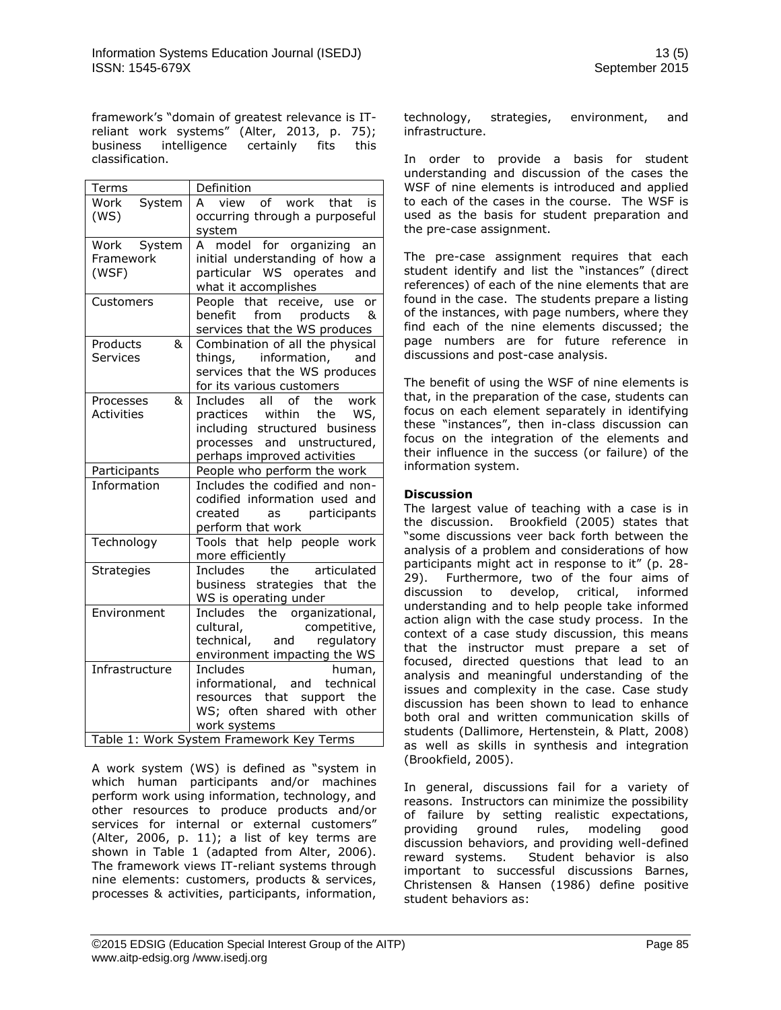framework's "domain of greatest relevance is ITreliant work systems" (Alter, 2013, p. 75); business intelligence certainly fits this classification.

| Terms             | Definition                                                   |  |  |
|-------------------|--------------------------------------------------------------|--|--|
| Work<br>System    | view of work that is<br>A                                    |  |  |
| (WS)              | occurring through a purposeful                               |  |  |
| Work System       | system<br>A model for organizing an                          |  |  |
| Framework         | initial understanding of how a                               |  |  |
| (WSF)             | particular WS operates and                                   |  |  |
|                   | what it accomplishes                                         |  |  |
| Customers         | People that receive, use<br>or                               |  |  |
|                   | from products<br>benefit<br>୍ୟ                               |  |  |
|                   | services that the WS produces                                |  |  |
| Products<br>&     | Combination of all the physical                              |  |  |
| <b>Services</b>   | things, information, and                                     |  |  |
|                   | services that the WS produces                                |  |  |
| &<br>Processes    | for its various customers<br>Includes all of<br>the<br>work  |  |  |
| Activities        | practices within<br>the<br>WS,                               |  |  |
|                   | including structured business                                |  |  |
|                   | processes and unstructured,                                  |  |  |
|                   | perhaps improved activities                                  |  |  |
| Participants      | People who perform the work                                  |  |  |
| Information       | Includes the codified and non-                               |  |  |
|                   | codified information used and                                |  |  |
|                   | as participants<br>created<br>perform that work              |  |  |
| Technology        | Tools that help people work                                  |  |  |
|                   | more efficiently                                             |  |  |
| <b>Strategies</b> | articulated<br>the<br>Includes                               |  |  |
|                   | business strategies that the                                 |  |  |
|                   | WS is operating under                                        |  |  |
| Environment       | Includes the organizational,                                 |  |  |
|                   | cultural,<br>competitive,                                    |  |  |
|                   | technical, and<br>regulatory<br>environment impacting the WS |  |  |
| Infrastructure    | <b>Includes</b><br>human,                                    |  |  |
|                   | informational, and technical                                 |  |  |
|                   | resources that support the                                   |  |  |
|                   | WS; often shared with other                                  |  |  |
|                   | work systems                                                 |  |  |
|                   | Table 1: Work System Framework Key Terms                     |  |  |

A work system (WS) is defined as "system in which human participants and/or machines perform work using information, technology, and other resources to produce products and/or services for internal or external customers" (Alter, 2006, p. 11); a list of key terms are shown in Table 1 (adapted from Alter, 2006). The framework views IT-reliant systems through nine elements: customers, products & services, processes & activities, participants, information,

technology, strategies, environment, and infrastructure.

In order to provide a basis for student understanding and discussion of the cases the WSF of nine elements is introduced and applied to each of the cases in the course. The WSF is used as the basis for student preparation and the pre-case assignment.

The pre-case assignment requires that each student identify and list the "instances" (direct references) of each of the nine elements that are found in the case. The students prepare a listing of the instances, with page numbers, where they find each of the nine elements discussed; the page numbers are for future reference in discussions and post-case analysis.

The benefit of using the WSF of nine elements is that, in the preparation of the case, students can focus on each element separately in identifying these "instances", then in-class discussion can focus on the integration of the elements and their influence in the success (or failure) of the information system.

## **Discussion**

The largest value of teaching with a case is in the discussion. Brookfield (2005) states that "some discussions veer back forth between the analysis of a problem and considerations of how participants might act in response to it" (p. 28- 29). Furthermore, two of the four aims of discussion to develop, critical, informed understanding and to help people take informed action align with the case study process. In the context of a case study discussion, this means that the instructor must prepare a set of focused, directed questions that lead to an analysis and meaningful understanding of the issues and complexity in the case. Case study discussion has been shown to lead to enhance both oral and written communication skills of students (Dallimore, Hertenstein, & Platt, 2008) as well as skills in synthesis and integration (Brookfield, 2005).

In general, discussions fail for a variety of reasons. Instructors can minimize the possibility of failure by setting realistic expectations, providing ground rules, modeling good discussion behaviors, and providing well-defined reward systems. Student behavior is also important to successful discussions Barnes, Christensen & Hansen (1986) define positive student behaviors as: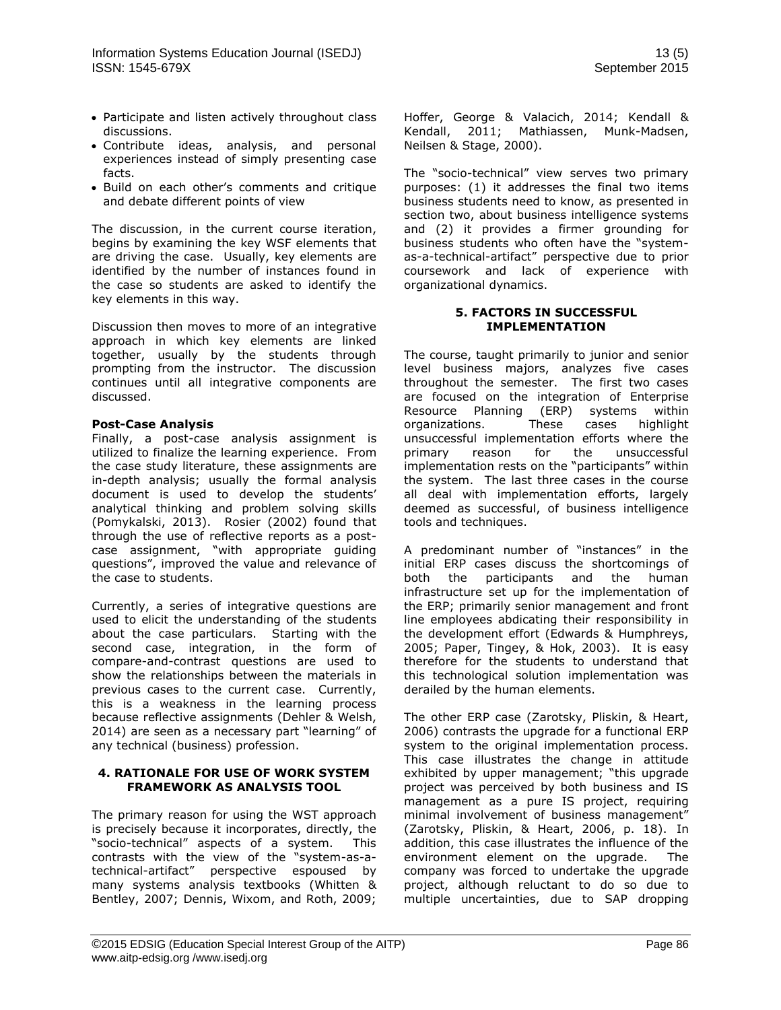- Participate and listen actively throughout class discussions.
- Contribute ideas, analysis, and personal experiences instead of simply presenting case facts.
- Build on each other's comments and critique and debate different points of view

The discussion, in the current course iteration, begins by examining the key WSF elements that are driving the case. Usually, key elements are identified by the number of instances found in the case so students are asked to identify the key elements in this way.

Discussion then moves to more of an integrative approach in which key elements are linked together, usually by the students through prompting from the instructor. The discussion continues until all integrative components are discussed.

#### **Post-Case Analysis**

Finally, a post-case analysis assignment is utilized to finalize the learning experience. From the case study literature, these assignments are in-depth analysis; usually the formal analysis document is used to develop the students' analytical thinking and problem solving skills (Pomykalski, 2013). Rosier (2002) found that through the use of reflective reports as a postcase assignment, "with appropriate guiding questions", improved the value and relevance of the case to students.

Currently, a series of integrative questions are used to elicit the understanding of the students about the case particulars. Starting with the second case, integration, in the form of compare-and-contrast questions are used to show the relationships between the materials in previous cases to the current case. Currently, this is a weakness in the learning process because reflective assignments (Dehler & Welsh, 2014) are seen as a necessary part "learning" of any technical (business) profession.

#### **4. RATIONALE FOR USE OF WORK SYSTEM FRAMEWORK AS ANALYSIS TOOL**

The primary reason for using the WST approach is precisely because it incorporates, directly, the "socio-technical" aspects of a system. This contrasts with the view of the "system-as-atechnical-artifact" perspective espoused by many systems analysis textbooks (Whitten & Bentley, 2007; Dennis, Wixom, and Roth, 2009;

Hoffer, George & Valacich, 2014; Kendall & Kendall, 2011; Mathiassen, Munk-Madsen, Neilsen & Stage, 2000).

The "socio-technical" view serves two primary purposes: (1) it addresses the final two items business students need to know, as presented in section two, about business intelligence systems and (2) it provides a firmer grounding for business students who often have the "systemas-a-technical-artifact" perspective due to prior coursework and lack of experience with organizational dynamics.

#### **5. FACTORS IN SUCCESSFUL IMPLEMENTATION**

The course, taught primarily to junior and senior level business majors, analyzes five cases throughout the semester. The first two cases are focused on the integration of Enterprise Resource Planning (ERP) systems within organizations. These cases highlight unsuccessful implementation efforts where the primary reason for the unsuccessful implementation rests on the "participants" within the system. The last three cases in the course all deal with implementation efforts, largely deemed as successful, of business intelligence tools and techniques.

A predominant number of "instances" in the initial ERP cases discuss the shortcomings of both the participants and the human infrastructure set up for the implementation of the ERP; primarily senior management and front line employees abdicating their responsibility in the development effort (Edwards & Humphreys, 2005; Paper, Tingey, & Hok, 2003). It is easy therefore for the students to understand that this technological solution implementation was derailed by the human elements.

The other ERP case (Zarotsky, Pliskin, & Heart, 2006) contrasts the upgrade for a functional ERP system to the original implementation process. This case illustrates the change in attitude exhibited by upper management; "this upgrade project was perceived by both business and IS management as a pure IS project, requiring minimal involvement of business management" (Zarotsky, Pliskin, & Heart, 2006, p. 18). In addition, this case illustrates the influence of the environment element on the upgrade. The company was forced to undertake the upgrade project, although reluctant to do so due to multiple uncertainties, due to SAP dropping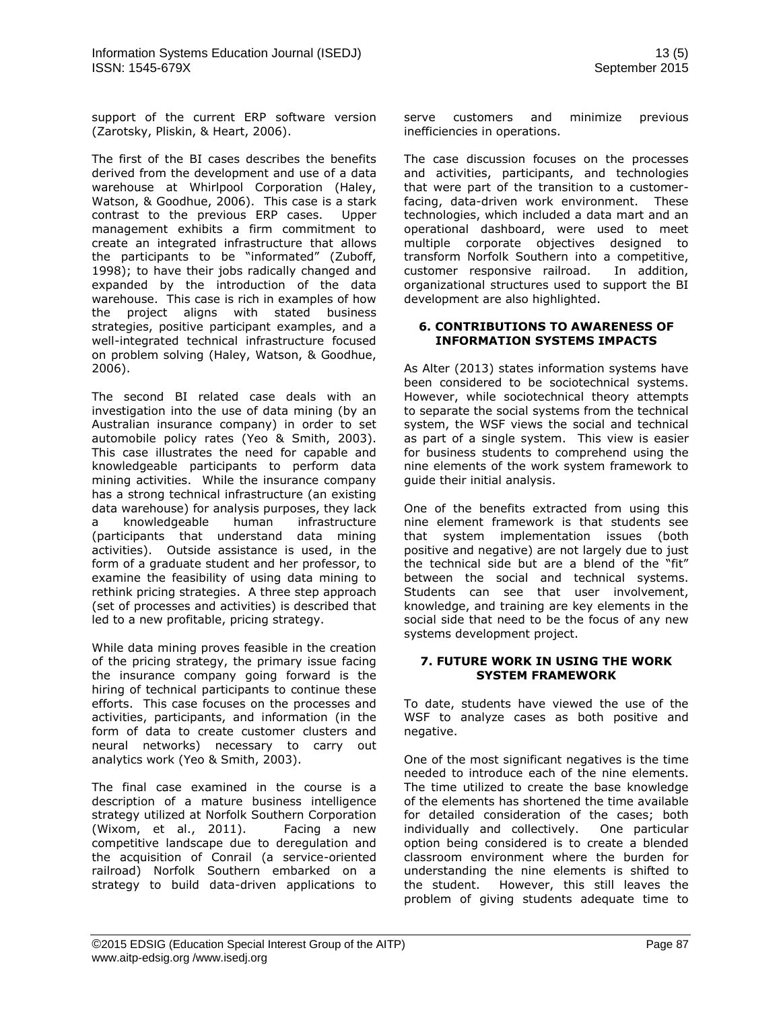support of the current ERP software version (Zarotsky, Pliskin, & Heart, 2006).

The first of the BI cases describes the benefits derived from the development and use of a data warehouse at Whirlpool Corporation (Haley, Watson, & Goodhue, 2006). This case is a stark contrast to the previous ERP cases. Upper management exhibits a firm commitment to create an integrated infrastructure that allows the participants to be "informated" (Zuboff, 1998); to have their jobs radically changed and expanded by the introduction of the data warehouse. This case is rich in examples of how the project aligns with stated business strategies, positive participant examples, and a well-integrated technical infrastructure focused on problem solving (Haley, Watson, & Goodhue, 2006).

The second BI related case deals with an investigation into the use of data mining (by an Australian insurance company) in order to set automobile policy rates (Yeo & Smith, 2003). This case illustrates the need for capable and knowledgeable participants to perform data mining activities. While the insurance company has a strong technical infrastructure (an existing data warehouse) for analysis purposes, they lack a knowledgeable human infrastructure (participants that understand data mining activities). Outside assistance is used, in the form of a graduate student and her professor, to examine the feasibility of using data mining to rethink pricing strategies. A three step approach (set of processes and activities) is described that led to a new profitable, pricing strategy.

While data mining proves feasible in the creation of the pricing strategy, the primary issue facing the insurance company going forward is the hiring of technical participants to continue these efforts. This case focuses on the processes and activities, participants, and information (in the form of data to create customer clusters and neural networks) necessary to carry out analytics work (Yeo & Smith, 2003).

The final case examined in the course is a description of a mature business intelligence strategy utilized at Norfolk Southern Corporation (Wixom, et al., 2011). Facing a new competitive landscape due to deregulation and the acquisition of Conrail (a service-oriented railroad) Norfolk Southern embarked on a strategy to build data-driven applications to serve customers and minimize previous inefficiencies in operations.

The case discussion focuses on the processes and activities, participants, and technologies that were part of the transition to a customerfacing, data-driven work environment. These technologies, which included a data mart and an operational dashboard, were used to meet multiple corporate objectives designed to transform Norfolk Southern into a competitive, customer responsive railroad. In addition, organizational structures used to support the BI development are also highlighted.

#### **6. CONTRIBUTIONS TO AWARENESS OF INFORMATION SYSTEMS IMPACTS**

As Alter (2013) states information systems have been considered to be sociotechnical systems. However, while sociotechnical theory attempts to separate the social systems from the technical system, the WSF views the social and technical as part of a single system. This view is easier for business students to comprehend using the nine elements of the work system framework to guide their initial analysis.

One of the benefits extracted from using this nine element framework is that students see that system implementation issues (both positive and negative) are not largely due to just the technical side but are a blend of the "fit" between the social and technical systems. Students can see that user involvement, knowledge, and training are key elements in the social side that need to be the focus of any new systems development project.

#### **7. FUTURE WORK IN USING THE WORK SYSTEM FRAMEWORK**

To date, students have viewed the use of the WSF to analyze cases as both positive and negative.

One of the most significant negatives is the time needed to introduce each of the nine elements. The time utilized to create the base knowledge of the elements has shortened the time available for detailed consideration of the cases; both individually and collectively. One particular option being considered is to create a blended classroom environment where the burden for understanding the nine elements is shifted to the student. However, this still leaves the problem of giving students adequate time to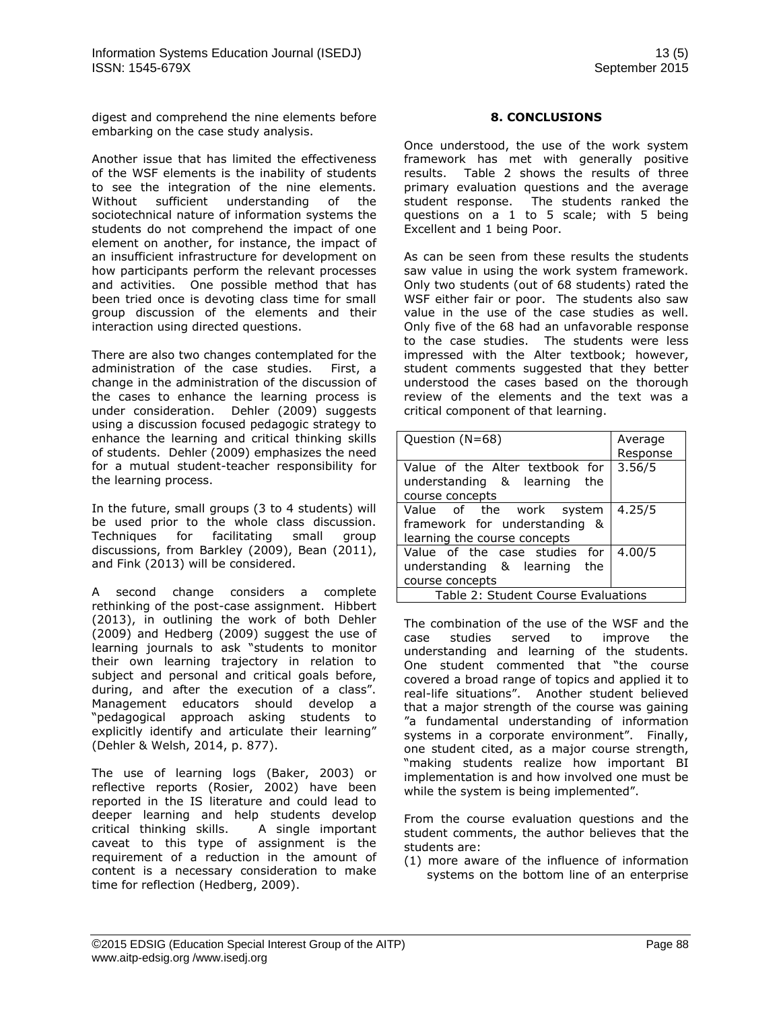digest and comprehend the nine elements before embarking on the case study analysis.

Another issue that has limited the effectiveness of the WSF elements is the inability of students to see the integration of the nine elements. Without sufficient understanding of the sociotechnical nature of information systems the students do not comprehend the impact of one element on another, for instance, the impact of an insufficient infrastructure for development on how participants perform the relevant processes and activities. One possible method that has been tried once is devoting class time for small group discussion of the elements and their interaction using directed questions.

There are also two changes contemplated for the administration of the case studies. First, a change in the administration of the discussion of the cases to enhance the learning process is under consideration. Dehler (2009) suggests using a discussion focused pedagogic strategy to enhance the learning and critical thinking skills of students. Dehler (2009) emphasizes the need for a mutual student-teacher responsibility for the learning process.

In the future, small groups (3 to 4 students) will be used prior to the whole class discussion. Techniques for facilitating small group discussions, from Barkley (2009), Bean (2011), and Fink (2013) will be considered.

A second change considers a complete rethinking of the post-case assignment. Hibbert (2013), in outlining the work of both Dehler (2009) and Hedberg (2009) suggest the use of learning journals to ask "students to monitor their own learning trajectory in relation to subject and personal and critical goals before, during, and after the execution of a class". Management educators should develop a "pedagogical approach asking students to explicitly identify and articulate their learning" (Dehler & Welsh, 2014, p. 877).

The use of learning logs (Baker, 2003) or reflective reports (Rosier, 2002) have been reported in the IS literature and could lead to deeper learning and help students develop critical thinking skills. A single important caveat to this type of assignment is the requirement of a reduction in the amount of content is a necessary consideration to make time for reflection (Hedberg, 2009).

## **8. CONCLUSIONS**

Once understood, the use of the work system framework has met with generally positive results. Table 2 shows the results of three primary evaluation questions and the average student response. The students ranked the questions on a 1 to 5 scale; with 5 being Excellent and 1 being Poor.

As can be seen from these results the students saw value in using the work system framework. Only two students (out of 68 students) rated the WSF either fair or poor. The students also saw value in the use of the case studies as well. Only five of the 68 had an unfavorable response to the case studies. The students were less impressed with the Alter textbook; however, student comments suggested that they better understood the cases based on the thorough review of the elements and the text was a critical component of that learning.

| Question (N=68)                                                                           | Average<br>Response |  |
|-------------------------------------------------------------------------------------------|---------------------|--|
| Value of the Alter textbook for<br>understanding & learning the<br>course concepts        | 3.56/5              |  |
| Value of the work system<br>framework for understanding &<br>learning the course concepts | 4.25/5              |  |
| Value of the case studies for<br>understanding & learning the<br>course concepts          | 4.00/5              |  |
| Table 2: Student Course Evaluations                                                       |                     |  |

The combination of the use of the WSF and the case studies served to improve the understanding and learning of the students. One student commented that "the course covered a broad range of topics and applied it to real-life situations". Another student believed that a major strength of the course was gaining "a fundamental understanding of information systems in a corporate environment". Finally, one student cited, as a major course strength, "making students realize how important BI implementation is and how involved one must be while the system is being implemented".

From the course evaluation questions and the student comments, the author believes that the students are:

(1) more aware of the influence of information systems on the bottom line of an enterprise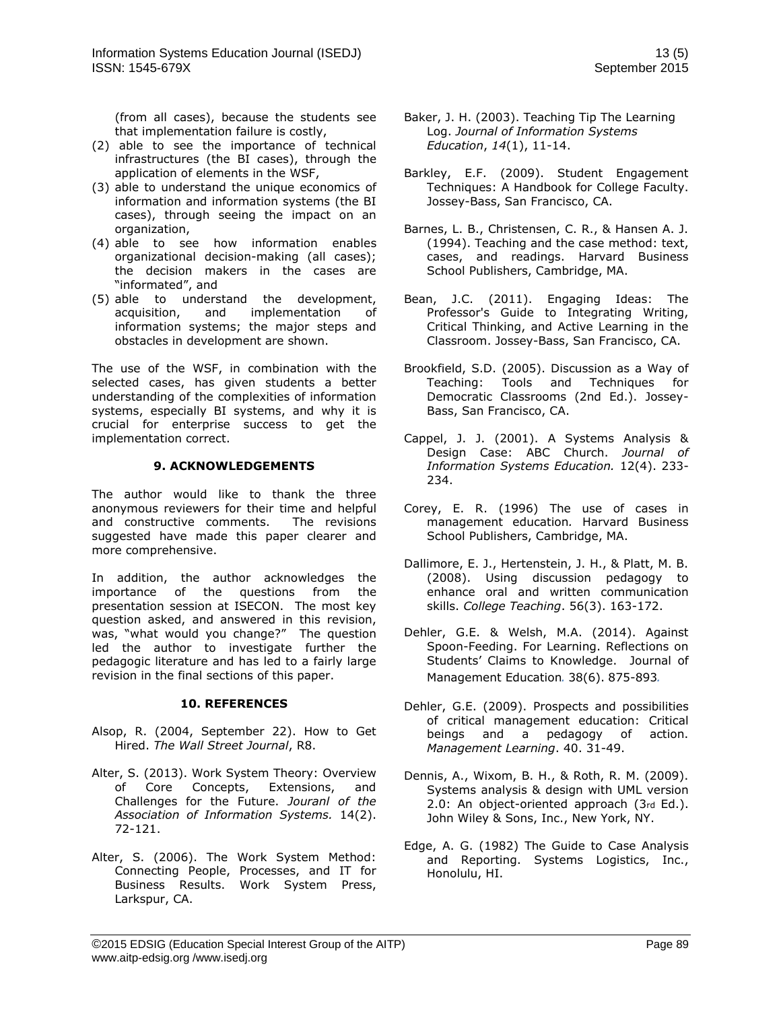(from all cases), because the students see that implementation failure is costly,

- (2) able to see the importance of technical infrastructures (the BI cases), through the application of elements in the WSF,
- (3) able to understand the unique economics of information and information systems (the BI cases), through seeing the impact on an organization,
- (4) able to see how information enables organizational decision-making (all cases); the decision makers in the cases are "informated", and
- (5) able to understand the development, acquisition, and implementation of information systems; the major steps and obstacles in development are shown.

The use of the WSF, in combination with the selected cases, has given students a better understanding of the complexities of information systems, especially BI systems, and why it is crucial for enterprise success to get the implementation correct.

#### **9. ACKNOWLEDGEMENTS**

The author would like to thank the three anonymous reviewers for their time and helpful and constructive comments. The revisions suggested have made this paper clearer and more comprehensive.

In addition, the author acknowledges the importance of the questions from the presentation session at ISECON. The most key question asked, and answered in this revision, was, "what would you change?" The question led the author to investigate further the pedagogic literature and has led to a fairly large revision in the final sections of this paper.

#### **10. REFERENCES**

- Alsop, R. (2004, September 22). How to Get Hired. *The Wall Street Journal*, R8.
- Alter, S. (2013). Work System Theory: Overview of Core Concepts, Extensions, and Challenges for the Future. *Jouranl of the Association of Information Systems.* 14(2). 72-121.
- Alter, S. (2006). The Work System Method: Connecting People, Processes, and IT for Business Results. Work System Press, Larkspur, CA.
- Baker, J. H. (2003). Teaching Tip The Learning Log. *Journal of Information Systems Education*, *14*(1), 11-14.
- Barkley, E.F. (2009). Student Engagement Techniques: A Handbook for College Faculty. Jossey-Bass, San Francisco, CA.
- Barnes, L. B., Christensen, C. R., & Hansen A. J. (1994). Teaching and the case method: text, cases, and readings. Harvard Business School Publishers, Cambridge, MA.
- Bean, J.C. (2011). Engaging Ideas: The Professor's Guide to Integrating Writing, Critical Thinking, and Active Learning in the Classroom. Jossey-Bass, San Francisco, CA.
- Brookfield, S.D. (2005). Discussion as a Way of Teaching: Tools and Techniques for Democratic Classrooms (2nd Ed.). Jossey-Bass, San Francisco, CA.
- Cappel, J. J. (2001). A Systems Analysis & Design Case: ABC Church. *Journal of Information Systems Education.* 12(4). 233- 234.
- Corey, E. R. (1996) The use of cases in management education*.* Harvard Business School Publishers, Cambridge, MA.
- Dallimore, E. J., Hertenstein, J. H., & Platt, M. B. (2008). Using discussion pedagogy to enhance oral and written communication skills. *College Teaching*. 56(3). 163-172.
- Dehler, G.E. & Welsh, M.A. (2014). Against Spoon-Feeding. For Learning. Reflections on Students' Claims to Knowledge. Journal of Management Education*.* 38(6). 875-893*.*
- Dehler, G.E. (2009). Prospects and possibilities of critical management education: Critical beings and a pedagogy of action. *Management Learning*. 40. 31-49.
- Dennis, A., Wixom, B. H., & Roth, R. M. (2009). Systems analysis & design with UML version 2.0: An object-oriented approach (3rd Ed.). John Wiley & Sons, Inc., New York, NY.
- Edge, A. G. (1982) The Guide to Case Analysis and Reporting. Systems Logistics, Inc., Honolulu, HI.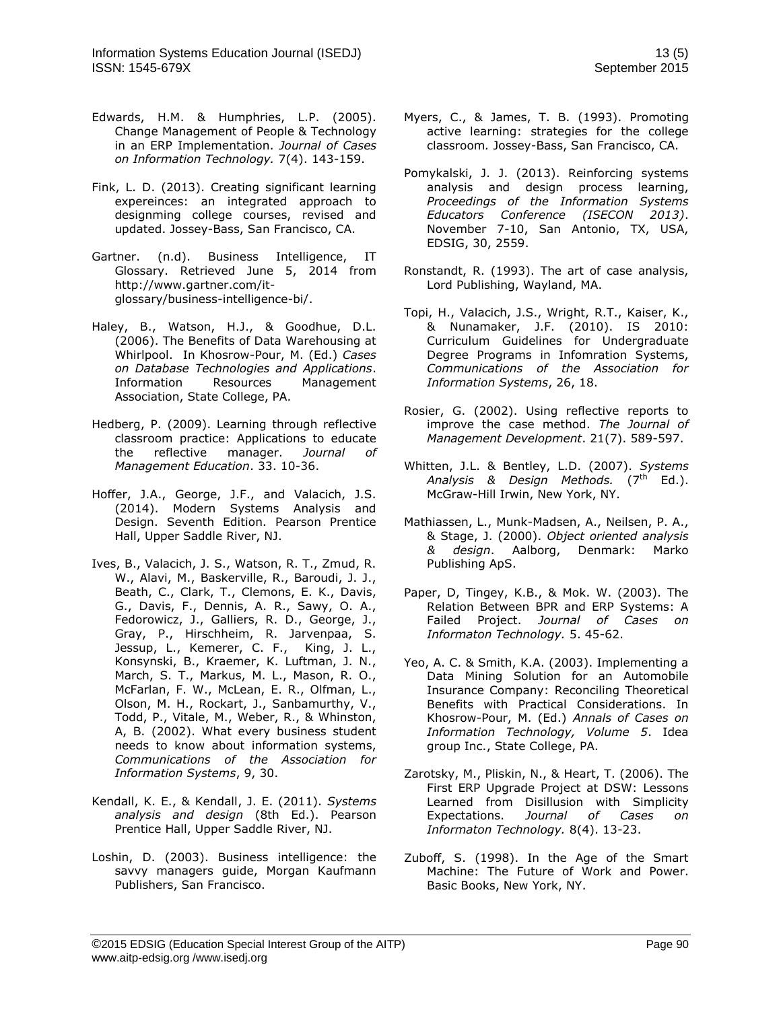- Edwards, H.M. & Humphries, L.P. (2005). Change Management of People & Technology in an ERP Implementation. *Journal of Cases on Information Technology.* 7(4). 143-159.
- Fink, L. D. (2013). Creating significant learning expereinces: an integrated approach to designming college courses, revised and updated. Jossey-Bass, San Francisco, CA.
- Gartner. (n.d). Business Intelligence, IT Glossary. Retrieved June 5, 2014 from [http://www.gartner.com/it](http://www.gartner.com/it-glossary/business-intelligence-bi/)[glossary/business-intelligence-bi/.](http://www.gartner.com/it-glossary/business-intelligence-bi/)
- Haley, B., Watson, H.J., & Goodhue, D.L. (2006). The Benefits of Data Warehousing at Whirlpool. In Khosrow-Pour, M. (Ed.) *Cases on Database Technologies and Applications*. Information Resources Management Association, State College, PA.
- Hedberg, P. (2009). Learning through reflective classroom practice: Applications to educate the reflective manager. *Journal of Management Education*. 33. 10-36.
- Hoffer, J.A., George, J.F., and Valacich, J.S. (2014). Modern Systems Analysis and Design. Seventh Edition. Pearson Prentice Hall, Upper Saddle River, NJ.
- Ives, B., Valacich, J. S., Watson, R. T., Zmud, R. W., Alavi, M., Baskerville, R., Baroudi, J. J., Beath, C., Clark, T., Clemons, E. K., Davis, G., Davis, F., Dennis, A. R., Sawy, O. A., Fedorowicz, J., Galliers, R. D., George, J., Gray, P., Hirschheim, R. Jarvenpaa, S. Jessup, L., Kemerer, C. F., King, J. L., Konsynski, B., Kraemer, K. Luftman, J. N., March, S. T., Markus, M. L., Mason, R. O., McFarlan, F. W., McLean, E. R., Olfman, L., Olson, M. H., Rockart, J., Sanbamurthy, V., Todd, P., Vitale, M., Weber, R., & Whinston, A, B. (2002). What every business student needs to know about information systems, *Communications of the Association for Information Systems*, 9, 30.
- Kendall, K. E., & Kendall, J. E. (2011). *Systems analysis and design* (8th Ed.). Pearson Prentice Hall, Upper Saddle River, NJ.
- Loshin, D. (2003). Business intelligence: the savvy managers guide, Morgan Kaufmann Publishers, San Francisco.
- Myers, C., & James, T. B. (1993). Promoting active learning: strategies for the college classroom*.* Jossey-Bass, San Francisco, CA.
- Pomykalski, J. J. (2013). Reinforcing systems analysis and design process learning, *Proceedings of the Information Systems Educators Conference (ISECON 2013)*. November 7-10, San Antonio, TX, USA, EDSIG, 30, 2559.
- Ronstandt, R. (1993). The art of case analysis, Lord Publishing, Wayland, MA.
- Topi, H., Valacich, J.S., Wright, R.T., Kaiser, K., & Nunamaker, J.F. (2010). IS 2010: Curriculum Guidelines for Undergraduate Degree Programs in Infomration Systems, *Communications of the Association for Information Systems*, 26, 18.
- Rosier, G. (2002). Using reflective reports to improve the case method. *The Journal of Management Development*. 21(7). 589-597.
- Whitten, J.L. & Bentley, L.D. (2007). *Systems*  Analysis & Design Methods. (7<sup>th</sup> Ed.). McGraw-Hill Irwin, New York, NY.
- Mathiassen, L., Munk-Madsen, A., Neilsen, P. A., & Stage, J. (2000). *Object oriented analysis & design*. Aalborg, Denmark: Marko Publishing ApS.
- Paper, D, Tingey, K.B., & Mok. W. (2003). The Relation Between BPR and ERP Systems: A Failed Project. *Journal of Cases on Informaton Technology.* 5. 45-62.
- Yeo, A. C. & Smith, K.A. (2003). Implementing a Data Mining Solution for an Automobile Insurance Company: Reconciling Theoretical Benefits with Practical Considerations. In Khosrow-Pour, M. (Ed.) *Annals of Cases on Information Technology, Volume 5*. Idea group Inc., State College, PA.
- Zarotsky, M., Pliskin, N., & Heart, T. (2006). The First ERP Upgrade Project at DSW: Lessons Learned from Disillusion with Simplicity Expectations. *Journal of Cases on Informaton Technology.* 8(4). 13-23.
- Zuboff, S. (1998). In the Age of the Smart Machine: The Future of Work and Power. Basic Books, New York, NY.